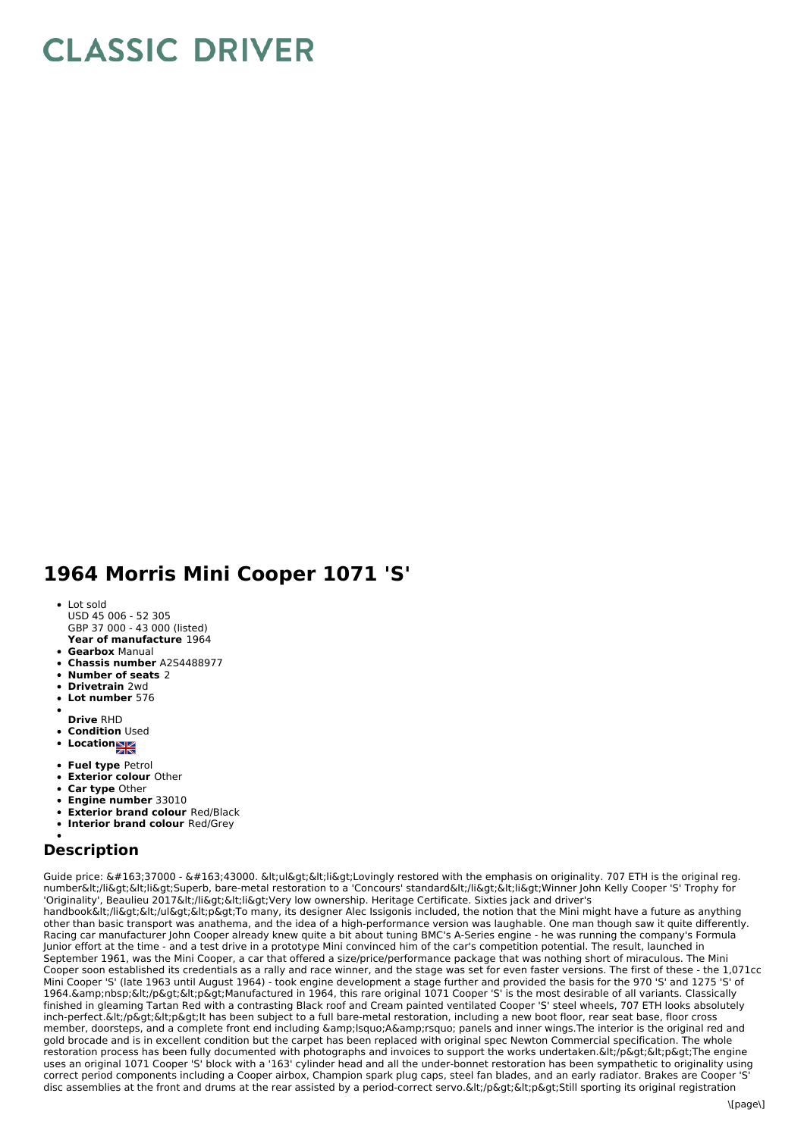## **CLASSIC DRIVER**

## **1964 Morris Mini Cooper 1071 'S'**

- **Year of manufacture** 1964 Lot sold USD 45 006 - 52 305 GBP 37 000 - 43 000 (listed)
- **Gearbox** Manual
- **Chassis number** A2S4488977
- **Number of seats** 2
- **Drivetrain** 2wd
- **Lot number** 576
- 
- **Drive** RHD
- **Condition** Used
- **Location**
- **Fuel type** Petrol
- **Exterior colour** Other
- **Car type** Other
- **Engine number** 33010  $\bullet$
- **Exterior brand colour** Red/Black
- **Interior brand colour** Red/Grey

## **Description**

Guide price:  $\&\#163:37000 - \&\#163:43000$ .  $\&\|$ t:ul $\&\alpha$ t: $\&\alpha$ ilexet:Lovingly restored with the emphasis on originality. 707 ETH is the original reg. number&lt:/li><li&gt;Superb, bare-metal restoration to a 'Concours' standard&lt;/li&gt;&lt;li&gt;Winner John Kelly Cooper 'S' Trophy for 'Originality', Beaulieu 2017</li&gt;&lt;li&gt;Very low ownership. Heritage Certificate. Sixties jack and driver's handbook</li&gt;&lt;/ul&gt;&lt;p&gt;To many, its designer Alec Issigonis included, the notion that the Mini might have a future as anything other than basic transport was anathema, and the idea of a high-performance version was laughable. One man though saw it quite differently. Racing car manufacturer John Cooper already knew quite a bit about tuning BMC's A-Series engine - he was running the company's Formula Junior effort at the time - and a test drive in a prototype Mini convinced him of the car's competition potential. The result, launched in September 1961, was the Mini Cooper, a car that offered a size/price/performance package that was nothing short of miraculous. The Mini Cooper soon established its credentials as a rally and race winner, and the stage was set for even faster versions. The first of these - the 1,071cc Mini Cooper 'S' (late 1963 until August 1964) - took engine development a stage further and provided the basis for the 970 'S' and 1275 'S' of 1964. Gamp;nbsp; Glt;/p&qt; Glt;p&qt; Manufactured in 1964, this rare original 1071 Cooper 'S' is the most desirable of all variants. Classically finished in gleaming Tartan Red with a contrasting Black roof and Cream painted ventilated Cooper 'S' steel wheels, 707 ETH looks absolutely inch-perfect.</p&gt;&lt;p&gt;lt has been subject to a full bare-metal restoration, including a new boot floor, rear seat base, floor cross member, doorsteps, and a complete front end including &Isquo;A' panels and inner wings.The interior is the original red and gold brocade and is in excellent condition but the carpet has been replaced with original spec Newton Commercial specification. The whole restoration process has been fully documented with photographs and invoices to support the works undertaken. &It;/p>&It;p>The engine uses an original 1071 Cooper 'S' block with a '163' cylinder head and all the under-bonnet restoration has been sympathetic to originality using correct period components including a Cooper airbox, Champion spark plug caps, steel fan blades, and an early radiator. Brakes are Cooper 'S' disc assemblies at the front and drums at the rear assisted by a period-correct servo. </p&qt;&lt;p&qt;Still sporting its original registration